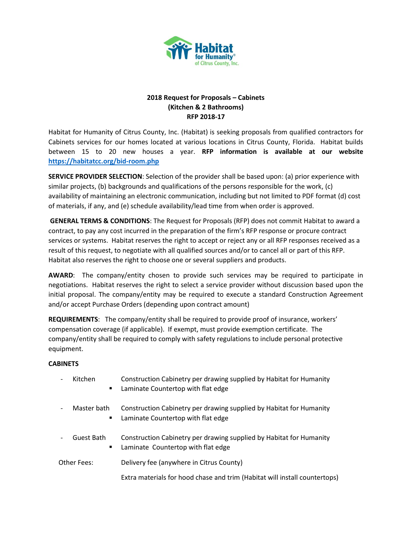

# **2018 Request for Proposals – Cabinets (Kitchen & 2 Bathrooms) RFP 2018-17**

Habitat for Humanity of Citrus County, Inc. (Habitat) is seeking proposals from qualified contractors for Cabinets services for our homes located at various locations in Citrus County, Florida. Habitat builds between 15 to 20 new houses a year. **RFP information is available at our website <https://habitatcc.org/bid-room.php>**

**SERVICE PROVIDER SELECTION**: Selection of the provider shall be based upon: (a) prior experience with similar projects, (b) backgrounds and qualifications of the persons responsible for the work, (c) availability of maintaining an electronic communication, including but not limited to PDF format (d) cost of materials, if any, and (e) schedule availability/lead time from when order is approved.

**GENERAL TERMS & CONDITIONS**: The Request for Proposals (RFP) does not commit Habitat to award a contract, to pay any cost incurred in the preparation of the firm's RFP response or procure contract services or systems. Habitat reserves the right to accept or reject any or all RFP responses received as a result of this request, to negotiate with all qualified sources and/or to cancel all or part of this RFP. Habitat also reserves the right to choose one or several suppliers and products.

**AWARD**: The company/entity chosen to provide such services may be required to participate in negotiations. Habitat reserves the right to select a service provider without discussion based upon the initial proposal. The company/entity may be required to execute a standard Construction Agreement and/or accept Purchase Orders (depending upon contract amount)

**REQUIREMENTS**: The company/entity shall be required to provide proof of insurance, workers' compensation coverage (if applicable). If exempt, must provide exemption certificate. The company/entity shall be required to comply with safety regulations to include personal protective equipment.

### **CABINETS**

- Kitchen Construction Cabinetry per drawing supplied by Habitat for Humanity ■ Laminate Countertop with flat edge
- Master bath Construction Cabinetry per drawing supplied by Habitat for Humanity
	- Laminate Countertop with flat edge
- Guest Bath Construction Cabinetry per drawing supplied by Habitat for Humanity Laminate Countertop with flat edge

Other Fees: Delivery fee (anywhere in Citrus County)

Extra materials for hood chase and trim (Habitat will install countertops)